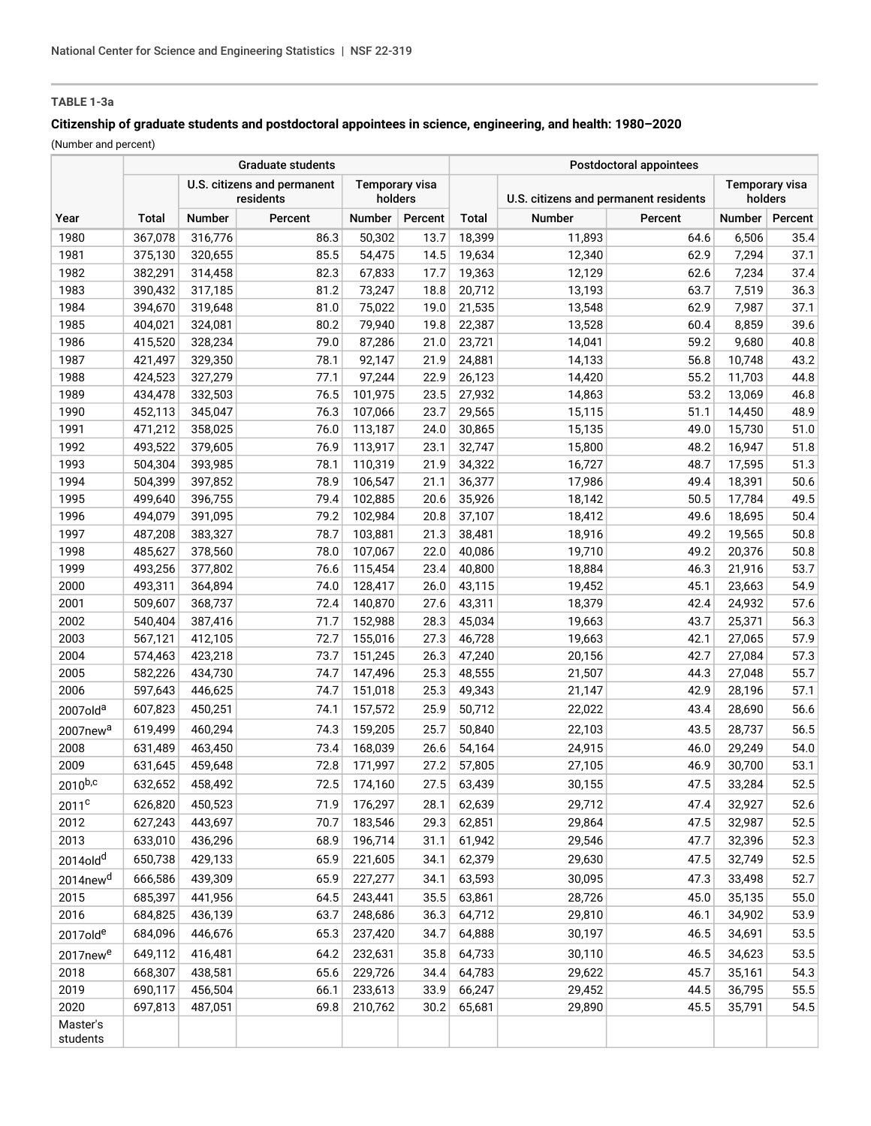# **TABLE 1-3a**

## **Citizenship of graduate students and postdoctoral appointees in science, engineering, and health: 1980–2020**

(Number and percent)

|                      | <b>Graduate students</b>                 |               |                                  |         |         | Postdoctoral appointees               |        |                                  |        |         |
|----------------------|------------------------------------------|---------------|----------------------------------|---------|---------|---------------------------------------|--------|----------------------------------|--------|---------|
|                      | U.S. citizens and permanent<br>residents |               | <b>Temporary visa</b><br>holders |         |         | U.S. citizens and permanent residents |        | <b>Temporary visa</b><br>holders |        |         |
| Year                 | Total                                    | <b>Number</b> | Percent                          | Number  | Percent | Total                                 | Number | Percent                          | Number | Percent |
| 1980                 | 367,078                                  | 316,776       | 86.3                             | 50,302  | 13.7    | 18,399                                | 11,893 | 64.6                             | 6,506  | 35.4    |
| 1981                 | 375,130                                  | 320,655       | 85.5                             | 54,475  | 14.5    | 19,634                                | 12,340 | 62.9                             | 7,294  | 37.1    |
| 1982                 | 382,291                                  | 314,458       | 82.3                             | 67,833  | 17.7    | 19,363                                | 12,129 | 62.6                             | 7,234  | 37.4    |
| 1983                 | 390,432                                  | 317,185       | 81.2                             | 73,247  | 18.8    | 20,712                                | 13,193 | 63.7                             | 7,519  | 36.3    |
| 1984                 | 394,670                                  | 319,648       | 81.0                             | 75,022  | 19.0    | 21,535                                | 13,548 | 62.9                             | 7,987  | 37.1    |
| 1985                 | 404,021                                  | 324,081       | 80.2                             | 79,940  | 19.8    | 22,387                                | 13,528 | 60.4                             | 8,859  | 39.6    |
| 1986                 | 415,520                                  | 328,234       | 79.0                             | 87,286  | 21.0    | 23,721                                | 14,041 | 59.2                             | 9,680  | 40.8    |
| 1987                 | 421,497                                  | 329,350       | 78.1                             | 92,147  | 21.9    | 24,881                                | 14,133 | 56.8                             | 10,748 | 43.2    |
| 1988                 | 424,523                                  | 327,279       | 77.1                             | 97,244  | 22.9    | 26,123                                | 14,420 | 55.2                             | 11,703 | 44.8    |
| 1989                 | 434,478                                  | 332,503       | 76.5                             | 101,975 | 23.5    | 27,932                                | 14,863 | 53.2                             | 13,069 | 46.8    |
| 1990                 | 452,113                                  | 345,047       | 76.3                             | 107,066 | 23.7    | 29,565                                | 15,115 | 51.1                             | 14,450 | 48.9    |
| 1991                 | 471,212                                  | 358,025       | 76.0                             | 113,187 | 24.0    | 30,865                                | 15,135 | 49.0                             | 15,730 | 51.0    |
| 1992                 | 493,522                                  | 379,605       | 76.9                             | 113,917 | 23.1    | 32,747                                | 15,800 | 48.2                             | 16,947 | 51.8    |
| 1993                 | 504,304                                  | 393,985       | 78.1                             | 110,319 | 21.9    | 34,322                                | 16,727 | 48.7                             | 17,595 | 51.3    |
| 1994                 | 504,399                                  | 397,852       | 78.9                             | 106,547 | 21.1    | 36,377                                | 17,986 | 49.4                             | 18,391 | 50.6    |
| 1995                 | 499,640                                  | 396,755       | 79.4                             | 102,885 | 20.6    | 35,926                                | 18,142 | 50.5                             | 17,784 | 49.5    |
| 1996                 | 494,079                                  | 391,095       | 79.2                             | 102,984 | 20.8    | 37,107                                | 18,412 | 49.6                             | 18,695 | 50.4    |
| 1997                 | 487,208                                  | 383,327       | 78.7                             | 103,881 | 21.3    | 38,481                                | 18,916 | 49.2                             | 19,565 | 50.8    |
| 1998                 | 485,627                                  | 378,560       | 78.0                             | 107,067 | 22.0    | 40,086                                | 19,710 | 49.2                             | 20,376 | 50.8    |
| 1999                 | 493,256                                  | 377,802       | 76.6                             | 115,454 | 23.4    | 40,800                                | 18,884 | 46.3                             | 21,916 | 53.7    |
| 2000                 | 493,311                                  | 364,894       | 74.0                             | 128,417 | 26.0    | 43,115                                | 19,452 | 45.1                             | 23,663 | 54.9    |
| 2001                 | 509,607                                  | 368,737       | 72.4                             | 140,870 | 27.6    | 43,311                                | 18,379 | 42.4                             | 24,932 | 57.6    |
| 2002                 | 540,404                                  | 387,416       | 71.7                             | 152,988 | 28.3    | 45,034                                | 19,663 | 43.7                             | 25,371 | 56.3    |
| 2003                 | 567,121                                  | 412,105       | 72.7                             | 155,016 | 27.3    | 46,728                                | 19,663 | 42.1                             | 27,065 | 57.9    |
| 2004                 | 574,463                                  | 423,218       | 73.7                             | 151,245 | 26.3    | 47,240                                | 20,156 | 42.7                             | 27,084 | 57.3    |
| 2005                 | 582,226                                  | 434,730       | 74.7                             | 147,496 | 25.3    | 48,555                                | 21,507 | 44.3                             | 27,048 | 55.7    |
| 2006                 | 597,643                                  | 446,625       | 74.7                             | 151,018 | 25.3    | 49,343                                | 21,147 | 42.9                             | 28,196 | 57.1    |
| 2007old <sup>a</sup> | 607,823                                  | 450,251       | 74.1                             | 157,572 | 25.9    | 50,712                                | 22,022 | 43.4                             | 28,690 | 56.6    |
| 2007new <sup>a</sup> | 619,499                                  | 460,294       | 74.3                             | 159,205 | 25.7    | 50,840                                | 22,103 | 43.5                             | 28,737 | 56.5    |
| 2008                 | 631,489                                  | 463,450       | 73.4                             | 168,039 | 26.6    | 54,164                                | 24,915 | 46.0                             | 29,249 | 54.0    |
| 2009                 | 631,645                                  | 459,648       | 72.8                             | 171,997 | 27.2    | 57,805                                | 27,105 | 46.9                             | 30,700 | 53.1    |
| $2010^{b,c}$         | 632,652                                  | 458,492       | 72.5                             | 174,160 | 27.5    | 63,439                                | 30,155 | 47.5                             | 33,284 | 52.5    |
| 2011 <sup>c</sup>    | 626,820                                  | 450,523       | 71.9                             | 176,297 | 28.1    | 62,639                                | 29,712 | 47.4                             | 32,927 | 52.6    |
| 2012                 | 627,243                                  | 443,697       | 70.7                             | 183,546 | 29.3    | 62,851                                | 29,864 | 47.5                             | 32,987 | 52.5    |
| 2013                 | 633,010                                  | 436,296       | 68.9                             | 196,714 | 31.1    | 61,942                                | 29,546 | 47.7                             | 32,396 | 52.3    |
| 2014old <sup>d</sup> | 650,738                                  | 429,133       | 65.9                             | 221,605 | 34.1    | 62,379                                | 29,630 | 47.5                             | 32,749 | 52.5    |
| 2014new <sup>d</sup> | 666,586                                  | 439,309       | 65.9                             | 227,277 | 34.1    | 63,593                                | 30,095 | 47.3                             | 33,498 | 52.7    |
| 2015                 | 685,397                                  | 441,956       | 64.5                             | 243,441 | 35.5    | 63,861                                | 28,726 | 45.0                             | 35,135 | 55.0    |
| 2016                 | 684,825                                  | 436,139       | 63.7                             | 248,686 | 36.3    | 64,712                                | 29,810 | 46.1                             | 34,902 | 53.9    |
| 2017olde             | 684,096                                  | 446,676       | 65.3                             | 237,420 | 34.7    | 64,888                                | 30,197 | 46.5                             | 34,691 | 53.5    |
| 2017new <sup>e</sup> | 649,112                                  | 416,481       | 64.2                             | 232,631 | 35.8    | 64,733                                | 30,110 | 46.5                             | 34,623 | 53.5    |
| 2018                 | 668,307                                  | 438,581       | 65.6                             | 229,726 | 34.4    | 64,783                                | 29,622 | 45.7                             | 35,161 | 54.3    |
| 2019                 | 690,117                                  | 456,504       | 66.1                             | 233,613 | 33.9    | 66,247                                | 29,452 | 44.5                             | 36,795 | 55.5    |
| 2020                 | 697,813                                  | 487,051       | 69.8                             | 210,762 | 30.2    | 65,681                                | 29,890 | 45.5                             | 35,791 | 54.5    |
| Master's<br>students |                                          |               |                                  |         |         |                                       |        |                                  |        |         |
|                      |                                          |               |                                  |         |         |                                       |        |                                  |        |         |